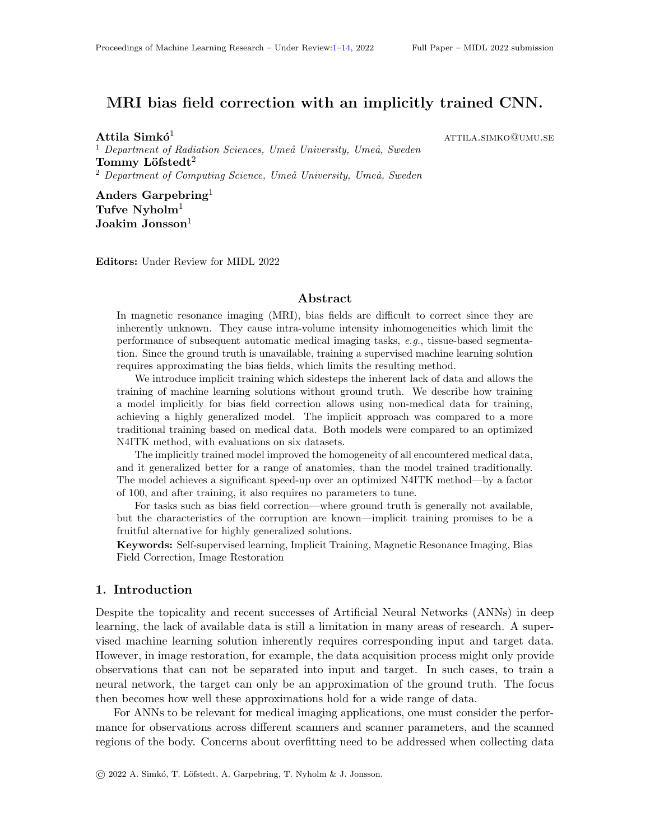# <span id="page-0-0"></span>MRI bias field correction with an implicitly trained CNN.

 $\mathbf{Attila~Simk}$ ó $^{1}$  attila.simko@umu.se  $1$  Department of Radiation Sciences, Umeå University, Umeå, Sweden Tommy Löfstedt<sup>2</sup> <sup>2</sup> Department of Computing Science, Umeå University, Umeå, Sweden

Anders Garpebring<sup>1</sup> Tufve  $N$ yholm $1$  $\rm Joakim\ Jonsson^1$ 

Editors: Under Review for MIDL 2022

#### Abstract

In magnetic resonance imaging (MRI), bias fields are difficult to correct since they are inherently unknown. They cause intra-volume intensity inhomogeneities which limit the performance of subsequent automatic medical imaging tasks, e.g., tissue-based segmentation. Since the ground truth is unavailable, training a supervised machine learning solution requires approximating the bias fields, which limits the resulting method.

We introduce implicit training which sidesteps the inherent lack of data and allows the training of machine learning solutions without ground truth. We describe how training a model implicitly for bias field correction allows using non-medical data for training, achieving a highly generalized model. The implicit approach was compared to a more traditional training based on medical data. Both models were compared to an optimized N4ITK method, with evaluations on six datasets.

The implicitly trained model improved the homogeneity of all encountered medical data, and it generalized better for a range of anatomies, than the model trained traditionally. The model achieves a significant speed-up over an optimized N4ITK method—by a factor of 100, and after training, it also requires no parameters to tune.

For tasks such as bias field correction—where ground truth is generally not available, but the characteristics of the corruption are known—implicit training promises to be a fruitful alternative for highly generalized solutions.

Keywords: Self-supervised learning, Implicit Training, Magnetic Resonance Imaging, Bias Field Correction, Image Restoration

#### 1. Introduction

Despite the topicality and recent successes of Artificial Neural Networks (ANNs) in deep learning, the lack of available data is still a limitation in many areas of research. A supervised machine learning solution inherently requires corresponding input and target data. However, in image restoration, for example, the data acquisition process might only provide observations that can not be separated into input and target. In such cases, to train a neural network, the target can only be an approximation of the ground truth. The focus then becomes how well these approximations hold for a wide range of data.

For ANNs to be relevant for medical imaging applications, one must consider the performance for observations across different scanners and scanner parameters, and the scanned regions of the body. Concerns about overfitting need to be addressed when collecting data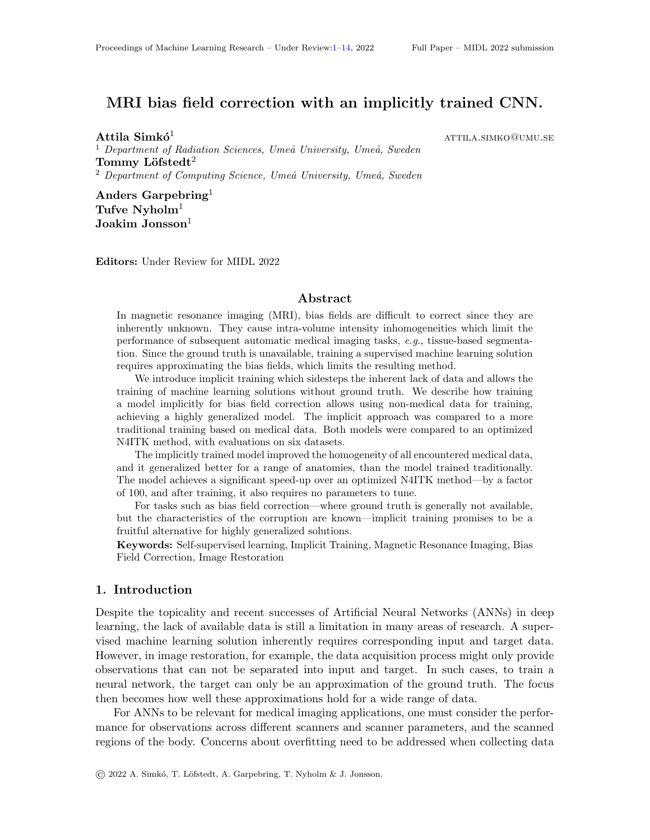for training. Confronting the issue of inseparable observations with generalizability in mind, we propose a novel, simple training technique for ANNs, which only requires general knowledge about the corruption and how it operates. The technique is denoted *implicit training*.

Imperfections during the image acquisition process in MRI and the patient anatomy collectively creates a multiplicative corruption, called a bias field. The field can cause a 10–40 % intra-volume smooth, low-frequency intensity variation (Meyer et al., 1995; Sled et al., 1997). Due to the bias field, the signal intensity of homogeneous tissue from MRI data is seldom homogeneous. Although having limited impact on visual diagnosis, the bias field has crucial implications on automated downstream processing. Information about the current state of bias field correction can be found in the appendix.

The main contribution of the presented study is the implicit training approach. The paper details, implements and tests the generalizability of a model trained in such a manner, against a model trained more conventionally. This investigation results in a bias field correction model trained on non-medical images<sup>[1](#page-1-0)</sup>, which achieves comparable results to the widely used N4ITK method, with a speed-up factor of 100.

#### 2. Materials and Methods

In image restoration, the general purpose is to recover the latent, clear image, u, from a corrupted observation,  $\mathbf{v} = H(\mathbf{u}, \mathbf{b})$ , with H as the corruption function applying the corruption, b, to the image, u. Since bias fields are multiplicative, the observation is

$$
\mathbf{v} = H(\mathbf{u}, \mathbf{b}) = \mathbf{u} \quad \mathbf{b};\tag{1}
$$

where the corruption function  $H$  is the Hadamard product ( $\,$ , element-wise multiplication) between the clear image and the corruption. The true signal intensity u only contains intensity variations of relevance, and b is the bias field. We describe two ways to train a machine learning model that learns  $\mathcal{F} : \mathbb{R}^{256} \times 256$  /  $\mathbb{R}^{256} \times 256$ , such that

<span id="page-1-1"></span>
$$
\mathbf{b} \quad \mathbf{b} = \mathcal{F}(\mathbf{v}) \tag{2}
$$

With the aim of adhering to the model definition in Eq. [\(2\)](#page-1-1), we are interested in finding a function  $\mathcal{F}$ , that minimises the mean squared error,

$$
L(\mathbf{v}, \mathbf{b}) = \frac{1}{n} F(\mathbf{v}) \quad \mathbf{b} \frac{2}{2}, \tag{3}
$$

where  $n$  is the number of voxels in  $\bf{v}$ .

To further encourage the networks to perform the intended task, an identity regularization term  $R$  was added to ensure consistency. After correcting  $\bf{v}$ , the corrected image should be bias-free, *i.e.* correcting an image a second time should simply return an identity bias field. The regularization term is defined as

$$
\frac{1}{n} F H^{-1} \mathbf{v} \neq (\mathbf{v}) \qquad \qquad \frac{2}{2} \quad \frac{1}{n} F H^{-1} H(\mathbf{u} \cdot \mathbf{b}) \neq \mathbf{b} \qquad \qquad \frac{2}{2} = \frac{1}{n} F \mathbf{u} \qquad \frac{2}{2} =: R(\mathbf{v}) \neq
$$

<span id="page-1-0"></span><sup>1.</sup> The model is available online: <https://doi.org/10.5281/zenodo.3749526>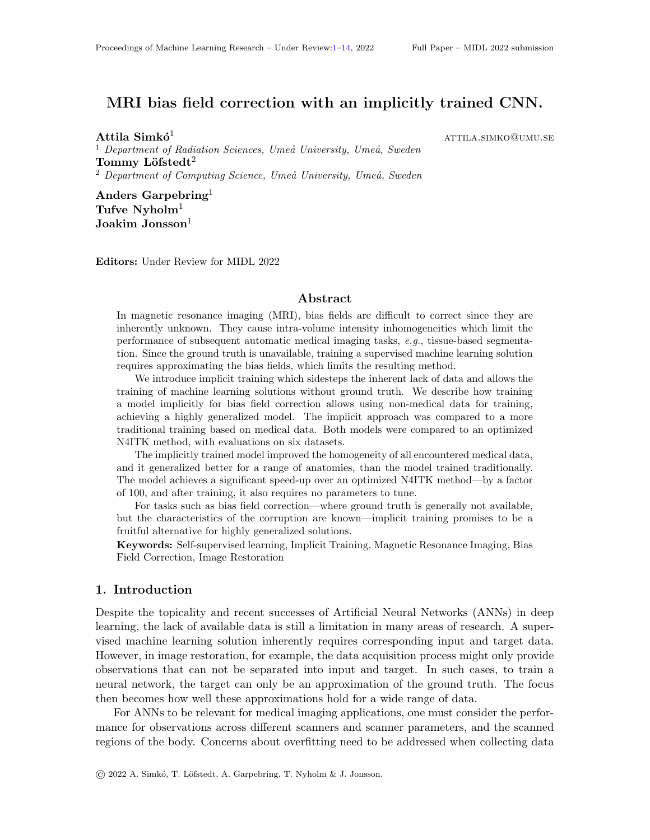where **u** is the approximated bias-free image, is a 256 256 image of ones, and  $H^{-1}$  is the inverse of the corruption function H, such that  $H^{-1}(H(\mathbf{v},\mathbf{b});\mathbf{b}) = \mathbf{v}$ . For the case of bias fields, the inverse function is  $H^{-1}(\mathbf{v}, \mathbf{b}) = \mathbf{v}$  b, element-wise division.

From the formulation of the problem, we know that b is not available, but it is required to compute the loss. This is often a concern for other image restoration tasks as well, and it is the motivation for this work. For these cases there are several approaches to train a model explicitly, *i.e.* by keeping this loss function. For example we can approximate **b** by applying a reliable analytical correction method on v. We have taken another approach to train explicitly.

#### <span id="page-2-0"></span>2.1. Bias Field Generator

We start by generating bias fields that follow the characteristics from literature [\(Zujun,](#page-10-0) [2006;](#page-10-0) Vovk et al., 2007), their description (Sled et al., 1998) and the examples from the BrainWeb website.

The method used to generate 2D spatial random but physically plausible fields followed the description (Heße et al., 2014). For a single bias field, it used a Gaussian covariance model in the form

$$
cov(r) = exp \qquad \frac{r}{4} \qquad \frac{r}{2} \qquad (4)
$$

where  $\zeta$  is the distance from a randomly chosen peak of the Gaussian, and  $\zeta$  is an arbitrary length scale corresponding to the frequency of the generated bias fields. A lower ` corresponds to a higher frequency. We selected ` for each bias field randomly in the range [10; 50], based on visual comparison to the bias fields from BrainWeb. The field is then scaled to have a mean of 1 and an absolute maximum chosen randomly in the range [1:1; 1:3], corresponding to a maximum inhomogeneity of 20–60 %, respectively.

#### 2.2. Explicit Training

We constructed the training dataset by collecting bias-free data from BrainWeb for **u** while an in-house bias field generator described in Section [2.1](#page-2-0) provided  $\mathbf{b}_{q}$ . Hence, the total explicit loss function was

$$
L_E(\mathbf{v}; \mathbf{b}_g) = L(\mathbf{v}; \mathbf{b}_g) + R \mathbf{v});
$$
\n(5)

where is a regularization parameter.

The explicitly trained model, by design, favors images with the same modality and scanned region as the images in the training set, exposing the issue of generalizability. Note that methods to improve generalizability of the explicit training process do exist. Collecting a more diverse training dataset will lead to a more general model, however for real data, the target bias fields can only be approximated, and covering all anatomies equally is a difficult task. The authors therefore propose a training process that circumvents these difficulties.

#### 2.3. Implicit Training

The *implicit training* process is an option as long as the characteristics of **b** are known, and therefore can appropriately be artificially generated, and the function  $H$  is known and invertible.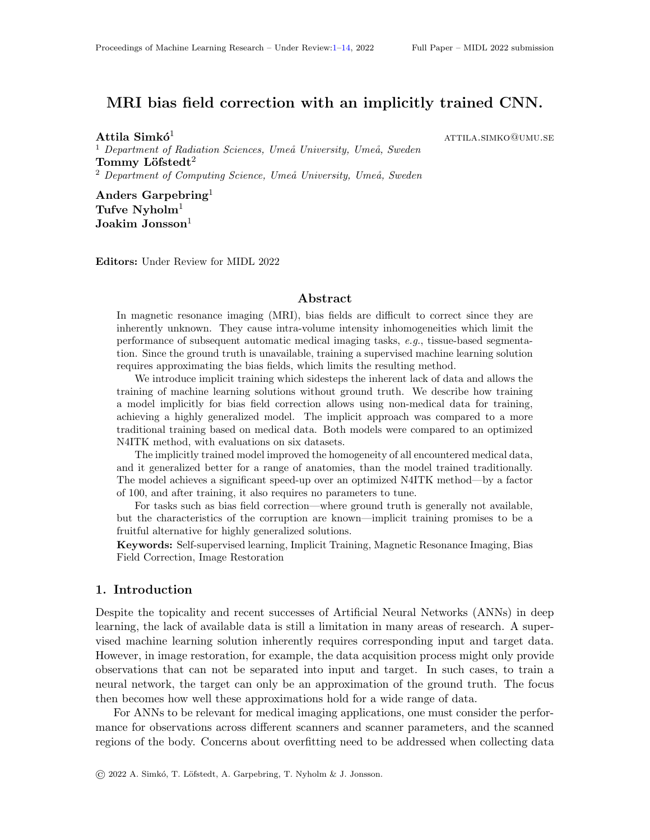The basis of the implicit training is a randomly generated artificial bias field,  $\mathbf{b}_g$ . Given an observation, v, with an unknown bias field, b, we can construct

$$
\mathbf{v}_{g} = H(\mathbf{v}; \mathbf{b}_{g}) = H(H(\mathbf{u}; \mathbf{b}); \mathbf{b}_{g}).
$$

For this image,  $v_q$ , the underlying bias field is naturally  $b - b_q$ , which is still unknown. However, note that we want the model to learn to return the bias field of a corrupted image, such that  $F(\mathbf{v}_q) = H(\mathbf{B}; \mathbf{B}_q)$  $H(\mathbf{b}, \mathbf{b}_q) = \mathbf{b}$  b<sub>g</sub> and that  $F(\mathbf{v}) = \mathbf{b}$  b. Having an F adhering to this, we see that

$$
H^{-1}(F(\mathbf{v}_g)/F(\mathbf{v})) = H^{-1}(H(\mathbf{b}, \mathbf{b}_g)/\mathbf{b}) = \mathbf{b} \quad \mathbf{b}_g \quad \mathbf{b} = \mathbf{b}_g \quad \mathbf{b}_g.
$$

Using this, we define an implicit loss function making the model learn not through its output, but through the relationship between two of its outputs. We thus define the implicit loss,

$$
\frac{1}{n} H^{-1} F(\mathbf{v}_g) / F(\mathbf{v}) \qquad \mathbf{b}_g \frac{2}{2} = \frac{1}{n} F(\mathbf{v}_g) \qquad F(\mathbf{v}) \qquad \mathbf{b}_g \frac{2}{2} =: L_I(\mathbf{v}) \mathbf{b}_g) : \tag{6}
$$

In every training iteration, we generate  $\mathbf{b}_g$ , construct  $\mathbf{v}_g = H(\mathbf{v}, \mathbf{b}_g)$ , take the output of F for both  $\mathbf{v}_g$  and  $\mathbf{v}$ , and fit their element-wise ratio to be  $\mathbf{b}_g$ . Implicit training for the input **v** with the simulated bias field  $\mathbf{b}_{q}$  is illustrated in Fig. 1.

Implicit training excludes b from the loss function, so it can remain unknown, and introduces a term  $\mathbf{b}_{q}$  which is a randomly generated bias field, following the statistics of **b.** In essence, since no information that exists both in **v** and **v<sub>q</sub>** is included in  $L_1$ , we claim that by minimizing this loss,  $\overline{F}$  learns not only to return  $\mathbf{b}_{q}$ , but also to return features that are indistinguishable from the characteristics of bg. Therefore, if we correctly generated  $\mathbf{b}_{q}$  with the same characteristics as **b**, training should also—implicitly—minimize  $\mathcal{L}_E$ . Together with regularization terms on both **v** and **v**<sub>g</sub>, the total implicit loss becomes

$$
L(\mathbf{v}, \mathbf{b}_g) = L_I(\mathbf{v}, \mathbf{b}_g) + R(\mathbf{v}, \mathbf{v}) + R(\mathbf{v}, \mathbf{v}) \tag{7}
$$

where is a regularization parameter.

Due to the training process, the training dataset is now not constrained to images where b is known and also the image content is not relevant. Therefore the illustrated process for the presented model was implemented without using medical data, by training on a subset of ImageNet images.

## 2.4. CNN Architecture

The CNN model,  $F$ , for correction had an input and output size of 256 256 1. The architecture was a U-Net (Ronneberger et al., 2015) with five down-sampling levels. Each down-sampling block contains two convolutional layers with symmetric padding and ReLU activations (Glorot et al., 2011), Batch Normalization (Ioffe and Szegedy, 2014) and for down-sampling to half the size, the model used Max Pooling layers. Each up-sampling layer is constructed similarly using a bilinear upsampling layer, and an additional Gaussian blur layer. The final output is constrained to values between 0:5 and 2.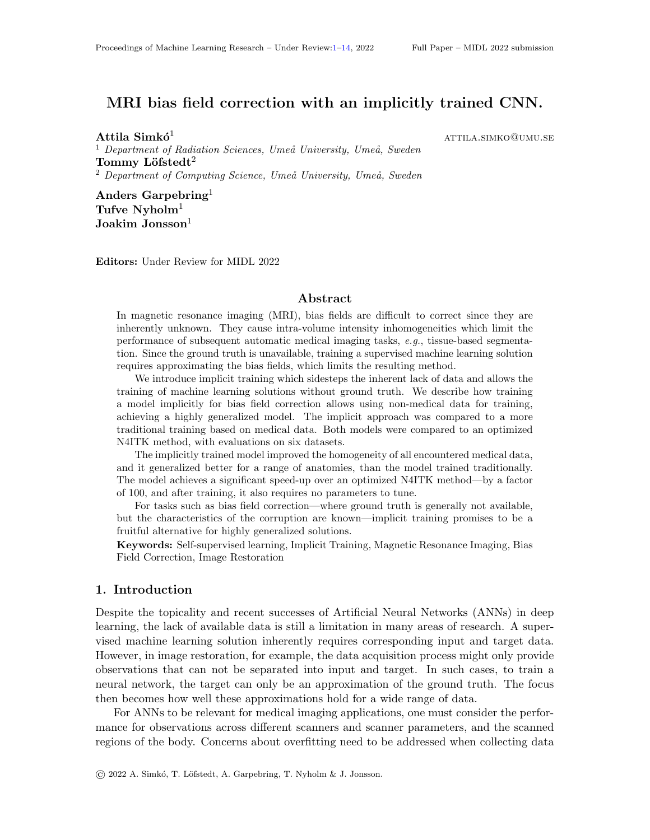# 3. Experiments

Explicit To use the explicit loss in Eq. (7) bias-free images are needed. For that we used the Simulated Brain Database, available from BrainWeB (Cocosoc et al., 2002; Kwan et al., 1999; Evans et al., 1996; Collins et al., 1998) and using the 20 distinct tissue maps, we simulate signal from ve di erent MR contrasts using Matlab R2018b (The MathWorks, Inc., Natick, Massachusetts, United States). The imagesu were corrupted by a 5 % Gaussian noise for higher stability and they were corrupted using a generated bias eldo<sub>g</sub>.

We generated 120 000 images, which were split between training the explicit model (108 000), validating the explicit and the implicit models (6 000) and for evaluating all methods (6 000). All images were saved with their corresponding tissue maps for gray matter (GM), white matter (WM), and cerebrospinal 
uid (CSF).

Implicit We trained another model using the implicit loss from Eq.  $(6)$ , where by design, our options for the training data are less restricted. For training we used a random sample of 108 000 images|the same as the number of training images for the explicit approach|from ImageNet, the large-scale image collection containing objects from about 5 000 categories. The changes in lighting, by smooth spatial color gradients or fading can follow similar characteristics as bias elds, therefore these changes are considered the bias elds of natural images, b. For each image we also generated a bias  $el\mathbf{d}_q$ . We used the same validation dataset as for explicit training, 6 000 images from BrainWeb.

N4ITK For all evaluations we corrected the bias eld using N4ITK from the SimpleITK Python package<sup>3</sup>. N4ITK was used on images rescaled to [0100], which improves the performance. The parameters were optimized for the given dataset using grid search.

Figure 1: Implicit Training. The input is an image with an unknown bias eld and another, generated bias eld. The and denote element-wise multiplication and division, respectively. The model is denoted  $\mathbb F$ , and the operations de neL in Eq. (7). The illustrated bias elds are real outputs of the implicitly trained model.

<sup>2.</sup> http://brainweb.bic.mni.mcgill.ca

<sup>3.</sup> http://www.simpleitk.org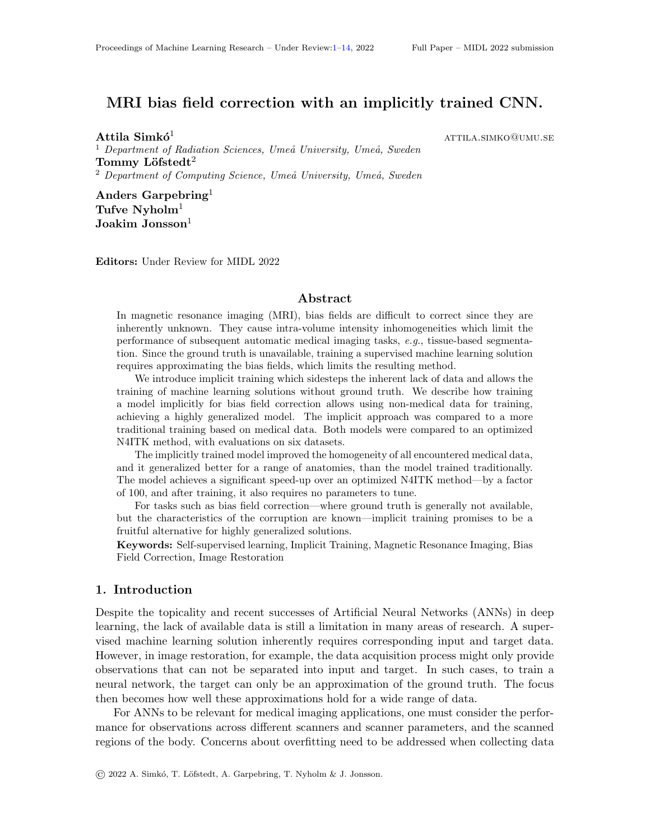## 3.1. Evaluation on BrainWeb

We evaluated the methods on the testing dataset of 6 000 synthetic images generated from BrainWeb. The evaluation metrics were the Coe cient of Variation (CV) and the Structural Similarity Index (SSIM). The experiment shows how homogeneous the signal intensity is for GM, WM, and CSF before and after correction.

We also evaluated the methods based on the execution time to correct all images in the dataset. To bring N4ITK and the proposed methods to a common ground, the timing experiments were performed on a single CPU. Note that the execution time of N4ITK can be drastically improved due to its straightforward slice-wise parallelism, but the same holds for the proposed models by increasing the batch size and the use of a GPU.

## 3.2. Evaluation on phantom data

A typical benchmark test for bias eld correction is to apply the given method on data that contains a homogeneous object with a simple geometry, assuming an homogeneous signal. For this test, 150 T<sub>2</sub>-weighted slices were acquired with a 3T Signa PET/MR scanner (GE Healthcare, Chicago, Illinois, United States) at the University Hospital of Ume, Ume, Sweden, of a spherical phantom object. The homogeneity of the object means that all non-uniformity inside the volume was bias only, simplifying the problem to

$$
F(v) = F(b) = \mathbf{\hat{B}}:
$$
 (8)

The corrections were evaluated in MICE Toolkit<sup>4</sup> (Nyholm and Jonsson, 2014) for all slices based on the CV calculated for the pixels inside the phantom.

## 3.3. Evaluation on real data

Two brain and two pelvic scans using dierent contrasts were collected at the University Hospital of Ume, Ume, Sweden, each with two segmented tissues.

One of the brain scans was  $\bar{a}_1$ -weighted gradient echo sequence with segmented tissues of white matter (WM) on 71 slices and connective tissue of the scalp (SC) on 101 slices. The other scan was  $aT_2$ -weighted scan with the same segmented tissues, WM on 52 and SC on 42 slices. One of the pelvic scans was a LAVA-FLEX sequence and the segmented tissues were fat (F) on 40 and the bladder (B) on 14 slices. The other scan was  $\bar{a}_1$ -weighted spin-echo and the selected tissues were fat (F) on 101 and muscle (M) on 115 slices.

The corrections were evaluated in MICE Toolkit.

## 4. Results

Both explicit and implicit training methods went through hyper-parameter tuning, and the best CV results on the validation dataset were achieved using the NAdam optimizer (Dozat, 2016) using a batch size of 32. The explicit training method achieved the best results after 134 epochs using a learning rate of :005 and  $= 0:5$ , while the implicit training took 161 epochs using a learning rate  $\omega$ 0001 with = 0:2.

<sup>4.</sup> NONPI Medical AB, Uma, Sweden; Website: https://www.micetoolkit.com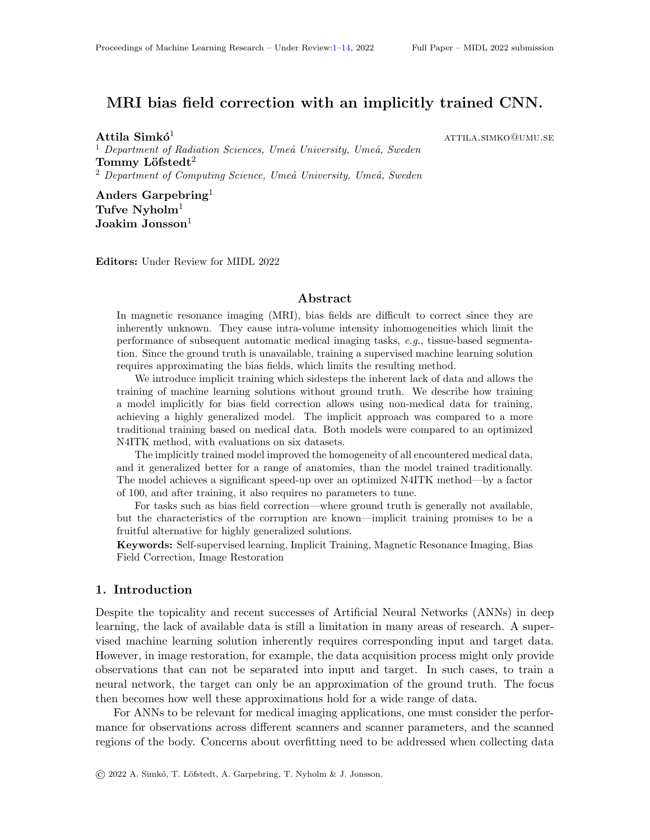|                       | CV              |                |                |                |                |                |                | <b>SSIM</b>    |                |                |                |                | Time [s]     |
|-----------------------|-----------------|----------------|----------------|----------------|----------------|----------------|----------------|----------------|----------------|----------------|----------------|----------------|--------------|
|                       | <b>WM</b><br>GМ |                | CSF            |                | GM             |                | WM             |                | CSF            |                |                |                |              |
| Original<br>Corrupted | 0:083<br>0:196  | 0:007<br>0:079 | 0:047<br>0:165 | 0:006<br>0:078 | 0:250<br>0:327 | 0:019<br>0:065 | 1:000<br>0:927 | 0:000<br>0:067 | 1:000<br>0:918 | 0:000<br>0:074 | :000<br>0:929  | 0:000<br>0:061 |              |
| N4ITK<br>Explicit     | 0:128<br>0:152  | 0:063<br>0:057 | :089<br>0:121  | 0:061<br>0:062 | 0:284<br>0:291 | 0:049<br>0:047 | 0:970<br>0:970 | 0:047<br>0:029 | 0:966<br>0:963 | 0:053<br>0:037 | 0:971<br>0:969 | 0:044<br>0:028 | 25657<br>232 |
| Implicit              | 0:144           | 0:047          | 0:111          | 0:052          | 0:287          | 0:036          | 0:972          | 0:019          | 0:967          | 0:025          | 0:971          | 0:019          | 232          |

Table 1: Results of the BrainWeb dataset, with the best for each tissue in bold. (Multiple, if the Nemenyi test shows no signi cant di erences.)

For the BrainWeb results see Table 1. N4ITK was optimized for 2 downsampling and 6 control points, which results in much higher frequency changes than the ground truth bias (as seen on Fig. 3). The results were compared for signi cance using a Friedman test of equivalence followed by a Nemenyi post-hoc test (Demsar, 2006) with a threshold of 0:5.

Table 2 collects the results for thePhantom and the Real data. The performance of the explicit method suggests that it doesn't generalize well to real data. This is further supported by the high standard deviation, visual assessment on Fig. 2 and in the appendix (on Fig. 4). For N4ITK the grid search method did not nd a set of parameters that would improve the CV of the phantom data, and most congurations introduced a defect to the image. For this data, the images were scaled between  $[6000]$ , having 6 control points without downsampling. For the  $T_1$ -weighted and  $T_2$ -weighted brain scans, and the LAVA-FLEX and  $T_1$ -weighted pelvic scans were optimized for 8, 6, 4 and 8 control points and 2 2, 2 and 1 downsampling, respectively. (See examples on Fig. 4.)

## 5. Discussion and Conclusions

Both trained models performed similarly to N4ITK on the BrainWeb dataset, and while CV favored N4ITK, it was outperformed by the implicit method for SSIM. Their similar performance is further shown in the appendix (on Fig. 3). Although the explicit method has been trained on similar BrainWeb scans, the implicit approach still achieved better results. Their di erence in performance becomes more signi cant for the other evaluation datasets. This showcases the opportunities of implicit training, which by design produces highly generalizable models, which is crucial for reliable machine learning methods.

Our second contribution is a fast and ecient machine learning method for bias eld correction, which challenges the manually-tuned, state-of-the-art N4ITK with a 100 speed-

| Original | N4ITK | Explicit | Implicit |
|----------|-------|----------|----------|
|          |       |          |          |

Figure 2: Visual comparison of the results for an example slice of the phantom dataset.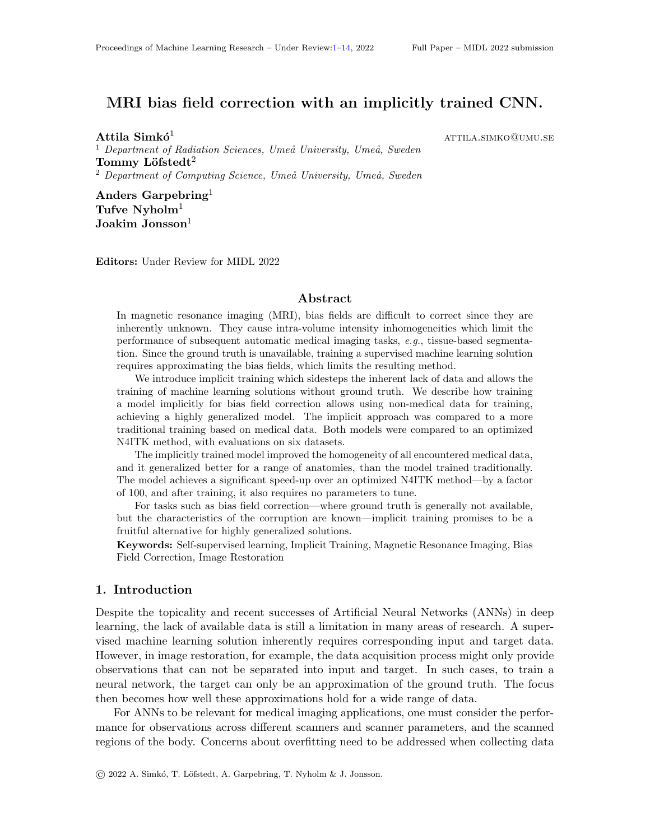| Dataset    | Contrast        | Tissue    |       | Corrupted |       | N4ITK |       | Explicit |       |       |
|------------|-----------------|-----------|-------|-----------|-------|-------|-------|----------|-------|-------|
| Phantom    |                 |           | 0:214 | 0:028     | 0:054 | 0:004 | 0:157 | 0:014    | 0:090 | 0:010 |
| Brain MRI  | $T_1$ -weighted | <b>WM</b> | 0:136 | 0:022     | 0:098 | 0:015 | 0:112 | 0:018    | 0:100 | 0:012 |
|            |                 | SC        | 0:237 | 0:078     | 0:197 | 0:042 | 0:212 | 0:046    | 0:122 | 0:019 |
|            | $T2$ -weighted  | <b>WM</b> | 0:149 | 0:022     | 0:123 | 0:018 | 0:161 | 0:026    | 0:138 | 0:017 |
|            |                 | SC        | 0:177 | 0:010     | 0:172 | 0:010 | 0:169 | 0:012    | 0:162 | 0:008 |
| Pelvic MRI | LAVA-FLEX       |           | 0:130 | 0:033     | 0:115 | 0:029 | 0:153 | 0:041    | 0:109 | 0:025 |
|            |                 | B         | 0:154 | 0:012     | 0:149 | 0:010 | 0:151 | 0:013    | 0:140 | 0:008 |
|            | -weighted<br>T4 |           | 0:174 | 0:018     | 0:129 | 0:017 | 0:166 | 0:020    | 0:131 | 0:012 |
|            |                 | M         | 0:205 | 0:008     | 0:193 | 0:008 | 0:205 | 0:007    | 0:189 | 0:006 |

Table 2: CV results of the phantom and real data, with the best for each tissue in bold. (Multiple, if the Nemenyi test shows no signi cant di erences.)

up factor. The trained model improves the homogeneity of all encountered datasets both by quantitative evaluation and visual assessment. Our method requires no parameters to tune at evaluation, which should prove most useful when manual tuning is not available.

Using N4ITK we have also encountered an artefact for the  $T_1$ -weighted pelvic scan for all sets of parameters, that distinctly separates the fat area into the darker and brighter regions. This artefact was not present in either the explicitly or the implicitly trained results as by design they can only return a smooth bias eld.

Results in Table 2 show that N4ITK performed signicantly better for the phantom dataset, and one tissue, while the implicit model achieved signicantly better results for three tissue evaluations. For the four remaining tissues N4ITK and the implicit model performed without signi cant di erences. The corrections visualized orthogonal to the correction axis in the appendix (on Fig. 4) show artefacts of the explicit model due to the 2D nature of the correction method. No such artefacts are present for the implicitly trained model. In fact the LAVA-FLEX dataset contained darker and brighter slices especially around the edges of the image, and the eect of these artefacts were even reduced by the implicit model. For the Phantom dataset, the 3D N4ITK method achieved the lowest standard deviation, yet for all other real data, this was the lowest for the implicit model. The comparable standard deviations to a 3D method, and visual evaluations show that although the problem is 3D, meaningful bias eld correction can be achieved by a 2D approach.

The results and easy implementation suggest that the proposed implicit training process could be used for other tasks as well. The two requirements are that the image corruption can be simulated accurately, and that the relation of the image and the corruption is known, and is invertible. Implicit training could prove useful for further tasks, such as other types of image corruption (Gaussian denoising, MRI motion artefact correction), image impainting or even object detection, by allowing to train on a wider range of data.

## **Acknowledgments**

We are grateful for the nancial support obtained from the Cancer Research Foundation in Northern Sweden (LP 18-2182, AMP 18-912, AMP 20-1014), the Vasterbotten regional county, and from Karin and Krister Olsson. The computations were enabled by resources provided by the Swedish National Infrastructure for Computing (SNIC) at the High Performance Computing Center North (HPC2N) in Ume, Sweden, partially funded by the Swedish Research Council through grant agreement no. 2018-05973.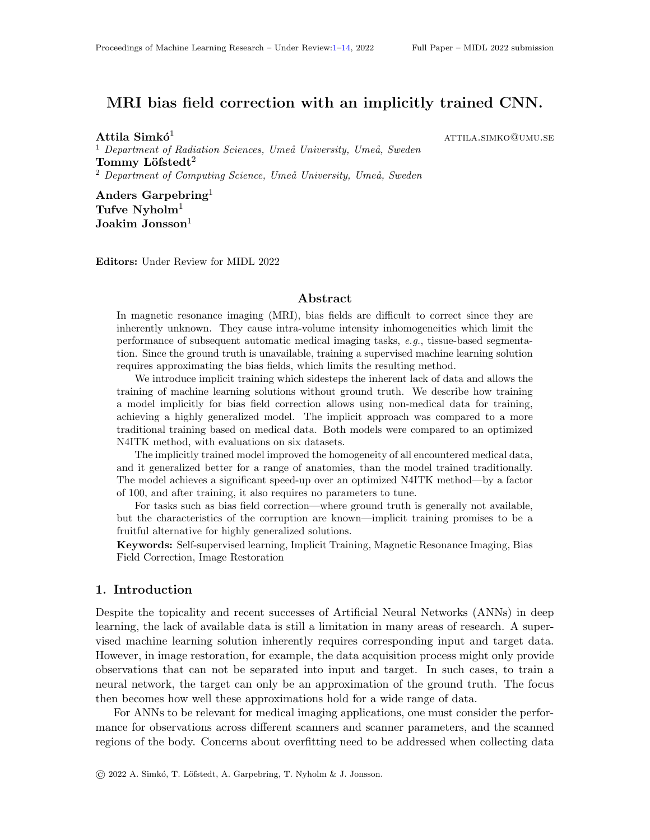## References

- Boubakeur Belaroussi, Julien Milles, Sabin Carme, Yue Min Zhu, and Hugues Benoit-Cattin. Intensity non-uniformity correction in MRI: Existing methods and their validation. Medical Image Analysis, 10(2):234{246, 2006.
- Chris A Cocosoc, V Kollokian, Remi K S Kwan, G Bruce Pike, and Alan C Evans. Brain-Web:Online Interface to a 3D MRI Simulated Brain Database. Hbm, 1131:1, 2002.
- D. Louis Collins, A P Zijdenbos, V Kollokian, J G Sled, N J Kabani, C J Holmes, and A C Evans. Digital Brain Phantom. Ieee Transactions on Medical Imaging, 17(3):463{468, 1998.
- Benoit M. Dawant, Alex P. Zijdenbos, and Richard A. Margolin. Correction of Intensity Variations in MR Images for Computer-Aided Tissue Classication. IEEE Transactions on Medical Imaging, 12(4):770{781, 1993. ISSN 1558254X. doi: 10.1109/42.251128.
- Janez Demsar. Statistical comparisons of classiers over multiple data sets. Journal of Machine Learning Research, 7:1{30, 2006. ISSN 15337928.

Timothy Dozat. Incorporating Nesterov Momentum into Adam. ICLR Workshop, 2016.

- Alan C Evans, G Bruce Pike, Mcconnell Brain, and Imaging Centre. An Extensible MRI Simulator for Post-processing Evaluation.Proceedings of the 4th International Conference on Visualization in Biomedical Computing, pages 2{7, 1996.
- Wan Fengkai, SmedbyOrjan, and Wang Chunliang. Simultaneous MR knee image segmen- tation and bias eld correction using deep learning and partial convolution. Proc. SPIE, Image Proc(10949), 2019.
- Melanie Gaillochet, Kerem Can Tezcan, and Ender Konukoglu. Joint Reconstruction and Bias Field Correction for Undersampled MR Imaging. Lecture Notes in Computer Science (including subseries Lecture Notes in Articial Intelligence and Lecture Notes in Bioinformatics) , 12262 LNCS:44{52, 2020. ISSN 16113349.
- Xavier Glorot, Antione Bordes, and Yoshua Bengio. Deep Sparse Rectier Neural Networks. Journal of the Optical Society of America A: Optics and Image Science, and Vision, 34 (7):1114{1118, 2011. ISSN 15208532. doi: 10.1002/ecs2.1832.
- Tal Goldfryd, Shiri Gordon, and Tammy Riklin Raviv. Deep Semi-Supervised Bias Field Correction Of Mr Images. 2021 IEEE 18th International Symposium on Biomedical Imaging (ISBI) , pages 1836{1840, 2021.
- Falk He e, Vladyslav Prykhodko, Ste en Schluter, and Sabine Attinger. Generating random elds with a truncated power-law variogram: Acomparison of several numerical methods. Environmental Modelling and Software, 55:32{48, 2014. ISSN 13648152. doi: 10.1016/j. envsoft.2014.01.013.
- Sergey Io e and Christian Szegedy. Batch Normalization: Accelerating Deep Network Training by Reducing Internal Covariate Shift. Igarss 2014, 25(1):1{5, 2014. ISSN 0717- 6163. doi: 10.1007/s13398-014-0173-7.2.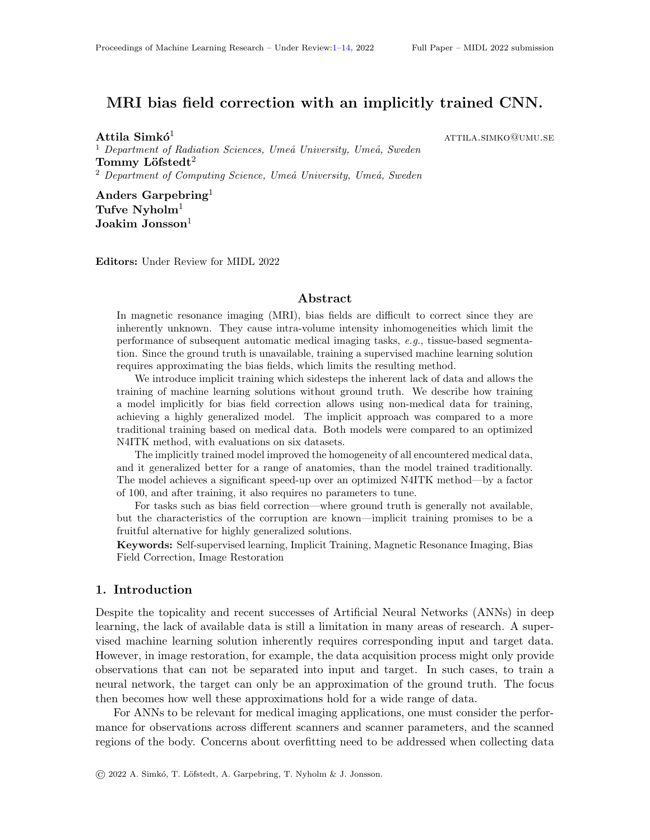- Remi K.S. Kwan, Alan C. Evans, and Bruce Pike. MRI simulation-based evaluation of image-processing and classification methods. IEEE Transactions on Medical Imaging, 18 (11):1085–1097, 1999. ISSN 02780062. doi: 10.1109/42.816072.
- Christian Thode Larsen, J. Eugenio Iglesias, and Koen Van Leemput. N3 bias field correction explained as a Bayesian modeling method. Lecture Notes in Computer Science (including subseries Lecture Notes in Artificial Intelligence and Lecture Notes in Bioinformatics), 8677:1–12, 2014. ISSN 16113349.
- Muqing Lin, Siwa Chan, Jeon Hor Chen, Daniel Chang, Ke Nie, Shih Ting Chen, Cheng Ju Lin, Tzu Ching Shih, Orhan Nalcioglu, and Min Ying Su. A new bias field correction method combining N3 and FCM for improved segmentation of breast density on MRI. Medical Physics, 38(1):5–14, 2011. ISSN 00942405. doi: 10.1118/1.3519869.
- Donald W. McRobbie, Elizabeth A. Moore, Martin J. Graves, and Martin R. Prince. MRI from picture to proton. 2006.
- Charles R. Meyer, P. H. Bland, and J. Pipe. Retrospective correction of intensity inhomogeneities in MRI. IEEE Transactions on Medical Imaging, 14(1):36–41, 1995. ISSN 02780062. doi: 10.1109/42.370400.
- Tufve Nyholm and Joakim Jonsson. Counterpoint: Opportunities and Challenges of a Magnetic Resonance Imaging-Only Radiotherapy Work Flow. Seminars in Radiation Oncology, 2014.
- Olaf Ronneberger, Philipp Fischer, and Thomas Brox. U-net: Convolutional networks for biomedical image segmentation. Medical Image Computing and Computer-Assisted Intervention – MICCAI 2015, 2015.
- John G. Sled, Alex P. Zijdenbos, and Alan C. Evans. A comparison of retrospective intensity non-uniformity correction methods for MRI. Lecture Notes in Computer Science (including subseries Lecture Notes in Artificial Intelligence and Lecture Notes in Bioinformatics), 1230:459–464, 1997.
- John G. Sled, A.P. Zijdenbos, and A.C. Evans. A nonparametric method for automatic correction of intensity nonuniformity in MRI data. IEEE Transactions on Medical Imaging, 17(1):87–97, 1998.
- Shashank N. Sridhara, Haleh Akrami, Krishnamurthy Vaishnavi, and A. Joshi Anand. Bias field correction in 3D-MRIs using convolutional autoencoders. Proc. SPIE, 11596(Image Processing), 2021.
- Nicholas J. Tustison, Brian B. Avants, Philip A. Cook, Yuanjie Zheng, Alexander Egan, Paul A. Yushkevich, and James C. Gee. N4ITK: Improved N3 bias correction. IEEE Transactions on Medical Imaging, 29(6):1310–1320, 2010.
- Uroš Vovk, Franjo Pernuš, and Boštjan Likar. A review of methods for correction of intensity inhomogeneity in MRI. IEEE Transactions on Medical Imaging, 26(3):405–421, 2007.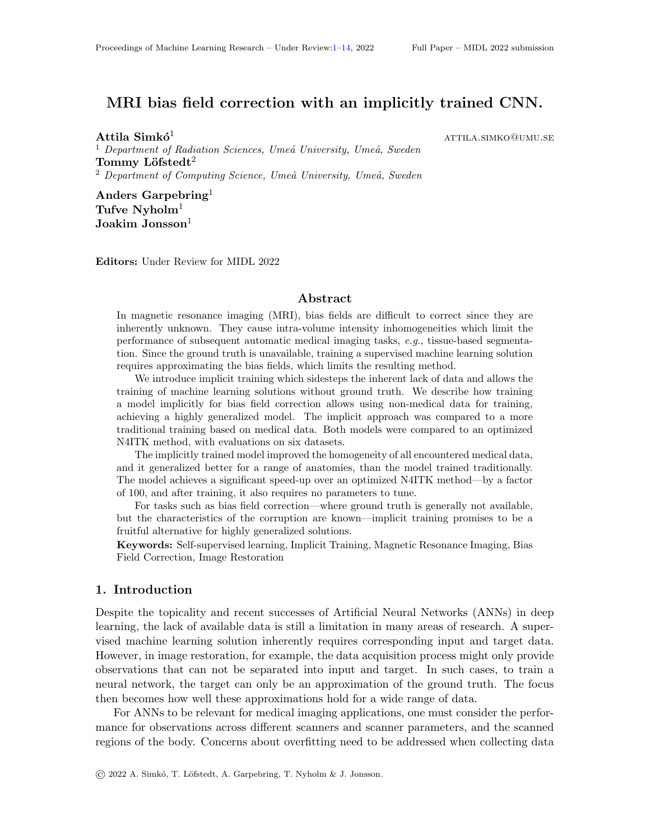- <span id="page-10-1"></span>William Wells, W E L Grimson, Ron Kikinis, and Ferenc A Jolesz. Statistical intensity correction of MRI data. Proc. SPIE, 2359(July):13–24, 1994.
- <span id="page-10-2"></span>Zhe Zhang and Jianhua Song. A Robust Brain MRI segmentation and bias field correction method integrating local contextual information into a clustering model. Applied Sciences (Switzerland), 9(7), 2019. ISSN 20763417. doi: 10.3390/app9071332.
- <span id="page-10-0"></span>Hou Zujun. A Review on MR Image Intensity Inhomogeneity Correction. International Journal of Biomedical Imaging, 2006(1):1–11, 2006.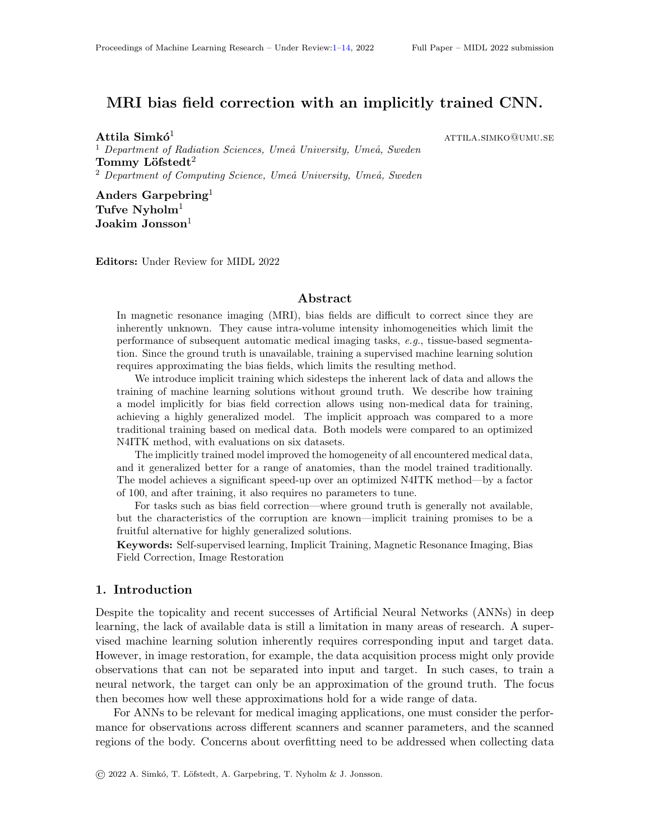#### Appendix A. Related Works

The are many causes of the bias field. Most of it can be attributed to local flip angle variations caused by a non-uniformity in the  $B_0$  static field and the transmitted  $B_1$  field (McRobbie et al., 2006), to tissue-specific radio frequency penetration (Belaroussi et al., 2006) and to heterogeneous receive  $B_1$  fields. Vendors frequently have built-in solutions that correct for the non-uniform receiver-coils—e.g. PURE for GE Healthcare (Chicago, Illinois, United States) and Prescan Normalization for Siemens (Erlangen, Germany).

For retrospective bias field correction, one of the most popular methods is an iterative, high-frequency content maximization method proposed (Sled et al., 1998), called N3. Their extensive research on the characteristics of the bias fields provides a strong theoretical foundation for the correction. The method is subject to constant renewals and modifications (Lin et al., 2011; Larsen et al., 2014), of which one of the most popular is N4ITK (Tustison et al., 2010). The N4ITK is often used in clinical practice due to its high accuracy. This performance comes at the cost of execution time, and a list of parameters to be tuned.

Despite its complex combination of origins, a bias field can be described as a lowfrequency multiplicative imaging artefact causing a smooth intensity variation spatially across the image. This is an important characteristic, as correctors might approximate the field using a Gaussian [\(Wells et al.,](#page-10-1) [1994\)](#page-10-1) or a quadratic estimation (Dawant et al., 1993), or B-splines for the case of N4ITK, smoothness is nonetheless often assumed and exploited in different methods (Sled et al., 1998).

Deep learning has been applied to bias field correction before, most often on a particular anatomy or contrast (Sridhara et al., 2021; Goldfryd et al., 2021) without the main aim of producing a generalized model. They are also often combined with another medical imaging task, such as tissue segmentation (Fengkai et al., 2019; [Zhang and Song,](#page-10-2) [2019\)](#page-10-2) or signal reconstruction (Gaillochet et al., 2020), which keeps the method limited to that particular context. The authors are not aware of any other work that aims to achieve such high generalization for the bias field correction of MRI data using deep learning.